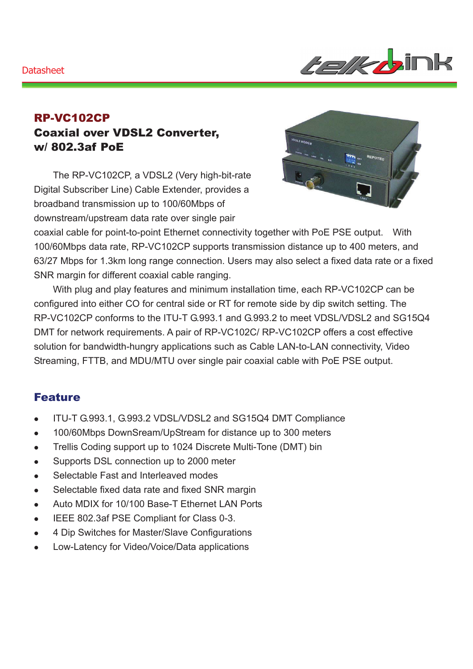#### **Datasheet**



## RP-VC102CP Coaxial over VDSL2 Converter, w/ 802.3af PoE

The RP-VC102CP, a VDSL2 (Very high-bit-rate Digital Subscriber Line) Cable Extender, provides a broadband transmission up to 100/60Mbps of downstream/upstream data rate over single pair



coaxial cable for point-to-point Ethernet connectivity together with PoE PSE output. With 100/60Mbps data rate, RP-VC102CP supports transmission distance up to 400 meters, and 63/27 Mbps for 1.3km long range connection. Users may also select a fixed data rate or a fixed SNR margin for different coaxial cable ranging.

With plug and play features and minimum installation time, each RP-VC102CP can be configured into either CO for central side or RT for remote side by dip switch setting. The RP-VC102CP conforms to the ITU-T G.993.1 and G.993.2 to meet VDSL/VDSL2 and SG15Q4 DMT for network requirements. A pair of RP-VC102C/ RP-VC102CP offers a cost effective solution for bandwidth-hungry applications such as Cable LAN-to-LAN connectivity, Video Streaming, FTTB, and MDU/MTU over single pair coaxial cable with PoE PSE output.

### Feature

- ITU-T G.993.1, G.993.2 VDSL/VDSL2 and SG15Q4 DMT Compliance
- 100/60Mbps DownSream/UpStream for distance up to 300 meters
- Trellis Coding support up to 1024 Discrete Multi-Tone (DMT) bin
- Supports DSL connection up to 2000 meter
- Selectable Fast and Interleaved modes
- Selectable fixed data rate and fixed SNR margin
- Auto MDIX for 10/100 Base-T Ethernet LAN Ports
- **EEE 802.3af PSE Compliant for Class 0-3.**
- 4 Dip Switches for Master/Slave Configurations
- Low-Latency for Video/Voice/Data applications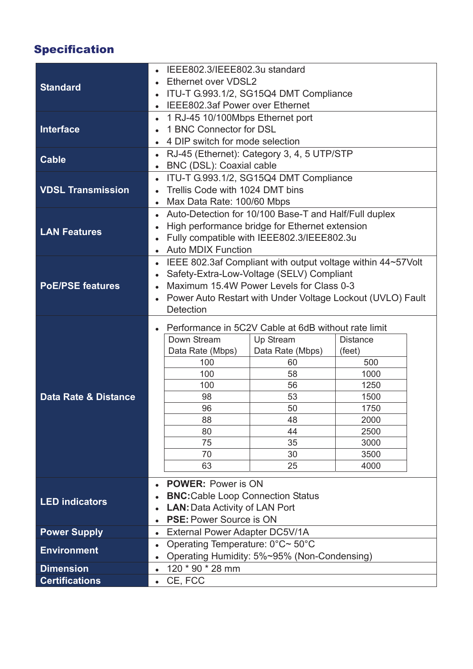# Specification

| <b>Standard</b>                 | IEEE802.3/IEEE802.3u standard                                      |                                                             |                  |                 |  |
|---------------------------------|--------------------------------------------------------------------|-------------------------------------------------------------|------------------|-----------------|--|
|                                 | Ethernet over VDSL2<br>$\bullet$                                   |                                                             |                  |                 |  |
|                                 | ITU-T G.993.1/2, SG15Q4 DMT Compliance<br>$\bullet$                |                                                             |                  |                 |  |
|                                 | IEEE802.3af Power over Ethernet<br>$\bullet$                       |                                                             |                  |                 |  |
| <b>Interface</b>                | 1 RJ-45 10/100Mbps Ethernet port                                   |                                                             |                  |                 |  |
|                                 |                                                                    | 1 BNC Connector for DSL                                     |                  |                 |  |
|                                 | $\bullet$                                                          | 4 DIP switch for mode selection                             |                  |                 |  |
| <b>Cable</b>                    | $\bullet$                                                          | RJ-45 (Ethernet): Category 3, 4, 5 UTP/STP                  |                  |                 |  |
|                                 | $\bullet$                                                          | BNC (DSL): Coaxial cable                                    |                  |                 |  |
| <b>VDSL Transmission</b>        | $\bullet$                                                          | ITU-T G.993.1/2, SG15Q4 DMT Compliance                      |                  |                 |  |
|                                 |                                                                    | Trellis Code with 1024 DMT bins                             |                  |                 |  |
|                                 | $\bullet$                                                          | Max Data Rate: 100/60 Mbps                                  |                  |                 |  |
| <b>LAN Features</b>             | Auto-Detection for 10/100 Base-T and Half/Full duplex<br>$\bullet$ |                                                             |                  |                 |  |
|                                 | $\bullet$                                                          | High performance bridge for Ethernet extension              |                  |                 |  |
|                                 | $\bullet$                                                          | Fully compatible with IEEE802.3/IEEE802.3u                  |                  |                 |  |
|                                 | $\bullet$                                                          | <b>Auto MDIX Function</b>                                   |                  |                 |  |
| <b>PoE/PSE features</b>         | $\bullet$                                                          | IEEE 802.3af Compliant with output voltage within 44~57Volt |                  |                 |  |
|                                 | $\bullet$                                                          | Safety-Extra-Low-Voltage (SELV) Compliant                   |                  |                 |  |
|                                 | $\bullet$                                                          | Maximum 15.4W Power Levels for Class 0-3                    |                  |                 |  |
|                                 | $\bullet$                                                          | Power Auto Restart with Under Voltage Lockout (UVLO) Fault  |                  |                 |  |
|                                 |                                                                    | <b>Detection</b>                                            |                  |                 |  |
| <b>Data Rate &amp; Distance</b> | Performance in 5C2V Cable at 6dB without rate limit<br>$\bullet$   |                                                             |                  |                 |  |
|                                 |                                                                    | Down Stream                                                 | Up Stream        | <b>Distance</b> |  |
|                                 |                                                                    | Data Rate (Mbps)                                            | Data Rate (Mbps) | (feet)          |  |
|                                 |                                                                    | 100                                                         | 60               | 500             |  |
|                                 |                                                                    | 100                                                         | 58               | 1000            |  |
|                                 |                                                                    | 100                                                         | 56               | 1250            |  |
|                                 |                                                                    | 98                                                          | 53               | 1500            |  |
|                                 |                                                                    | 96                                                          | 50               | 1750            |  |
|                                 |                                                                    | 88                                                          | 48               | 2000            |  |
|                                 |                                                                    | 80                                                          | 44               | 2500            |  |
|                                 |                                                                    | 75                                                          | 35               | 3000            |  |
|                                 |                                                                    | 70<br>63                                                    | 30<br>25         | 3500<br>4000    |  |
|                                 |                                                                    |                                                             |                  |                 |  |
| <b>LED indicators</b>           |                                                                    | <b>POWER: Power is ON</b>                                   |                  |                 |  |
|                                 | <b>BNC:</b> Cable Loop Connection Status<br>$\bullet$              |                                                             |                  |                 |  |
|                                 | $\bullet$                                                          | <b>LAN: Data Activity of LAN Port</b>                       |                  |                 |  |
|                                 | <b>PSE: Power Source is ON</b><br>$\bullet$                        |                                                             |                  |                 |  |
| <b>Power Supply</b>             | $\bullet$                                                          | External Power Adapter DC5V/1A                              |                  |                 |  |
| <b>Environment</b>              | Operating Temperature: 0°C~ 50°C<br>$\bullet$                      |                                                             |                  |                 |  |
|                                 | $\bullet$                                                          | Operating Humidity: 5%~95% (Non-Condensing)                 |                  |                 |  |
| <b>Dimension</b>                | 120 * 90 * 28 mm<br>$\bullet$                                      |                                                             |                  |                 |  |
| <b>Certifications</b>           | $\bullet$                                                          | CE, FCC                                                     |                  |                 |  |